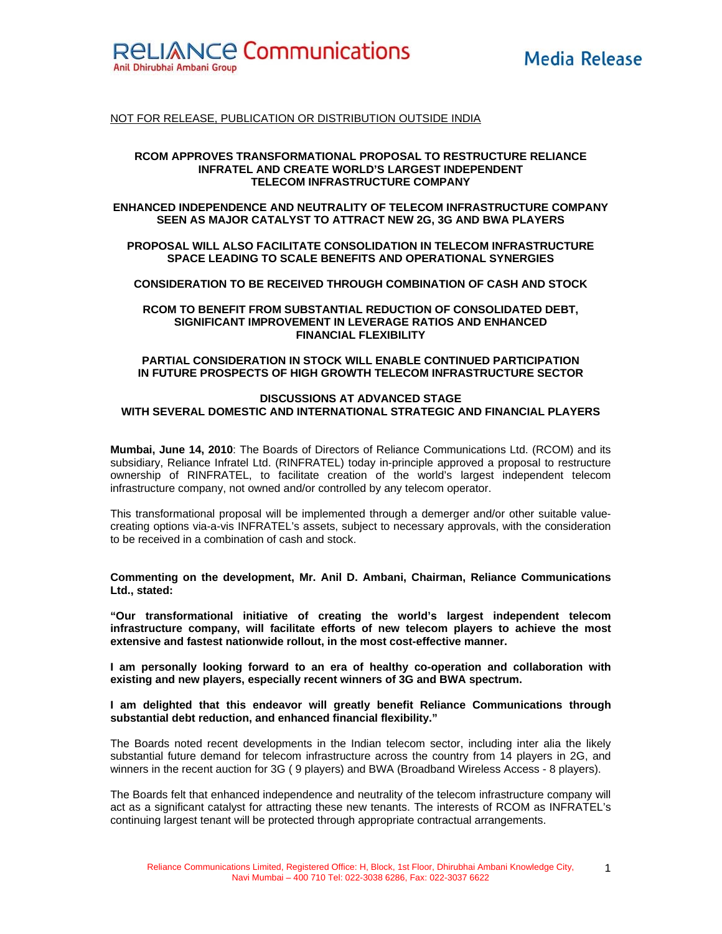

# NOT FOR RELEASE, PUBLICATION OR DISTRIBUTION OUTSIDE INDIA

## **RCOM APPROVES TRANSFORMATIONAL PROPOSAL TO RESTRUCTURE RELIANCE INFRATEL AND CREATE WORLD'S LARGEST INDEPENDENT TELECOM INFRASTRUCTURE COMPANY**

# **ENHANCED INDEPENDENCE AND NEUTRALITY OF TELECOM INFRASTRUCTURE COMPANY SEEN AS MAJOR CATALYST TO ATTRACT NEW 2G, 3G AND BWA PLAYERS**

# **PROPOSAL WILL ALSO FACILITATE CONSOLIDATION IN TELECOM INFRASTRUCTURE SPACE LEADING TO SCALE BENEFITS AND OPERATIONAL SYNERGIES**

**CONSIDERATION TO BE RECEIVED THROUGH COMBINATION OF CASH AND STOCK** 

## **RCOM TO BENEFIT FROM SUBSTANTIAL REDUCTION OF CONSOLIDATED DEBT, SIGNIFICANT IMPROVEMENT IN LEVERAGE RATIOS AND ENHANCED FINANCIAL FLEXIBILITY**

## **PARTIAL CONSIDERATION IN STOCK WILL ENABLE CONTINUED PARTICIPATION IN FUTURE PROSPECTS OF HIGH GROWTH TELECOM INFRASTRUCTURE SECTOR**

# **DISCUSSIONS AT ADVANCED STAGE WITH SEVERAL DOMESTIC AND INTERNATIONAL STRATEGIC AND FINANCIAL PLAYERS**

**Mumbai, June 14, 2010**: The Boards of Directors of Reliance Communications Ltd. (RCOM) and its subsidiary, Reliance Infratel Ltd. (RINFRATEL) today in-principle approved a proposal to restructure ownership of RINFRATEL, to facilitate creation of the world's largest independent telecom infrastructure company, not owned and/or controlled by any telecom operator.

This transformational proposal will be implemented through a demerger and/or other suitable valuecreating options via-a-vis INFRATEL's assets, subject to necessary approvals, with the consideration to be received in a combination of cash and stock.

**Commenting on the development, Mr. Anil D. Ambani, Chairman, Reliance Communications Ltd., stated:** 

**"Our transformational initiative of creating the world's largest independent telecom infrastructure company, will facilitate efforts of new telecom players to achieve the most extensive and fastest nationwide rollout, in the most cost-effective manner.** 

**I am personally looking forward to an era of healthy co-operation and collaboration with existing and new players, especially recent winners of 3G and BWA spectrum.** 

## **I am delighted that this endeavor will greatly benefit Reliance Communications through substantial debt reduction, and enhanced financial flexibility."**

The Boards noted recent developments in the Indian telecom sector, including inter alia the likely substantial future demand for telecom infrastructure across the country from 14 players in 2G, and winners in the recent auction for 3G ( 9 players) and BWA (Broadband Wireless Access - 8 players).

The Boards felt that enhanced independence and neutrality of the telecom infrastructure company will act as a significant catalyst for attracting these new tenants. The interests of RCOM as INFRATEL's continuing largest tenant will be protected through appropriate contractual arrangements.